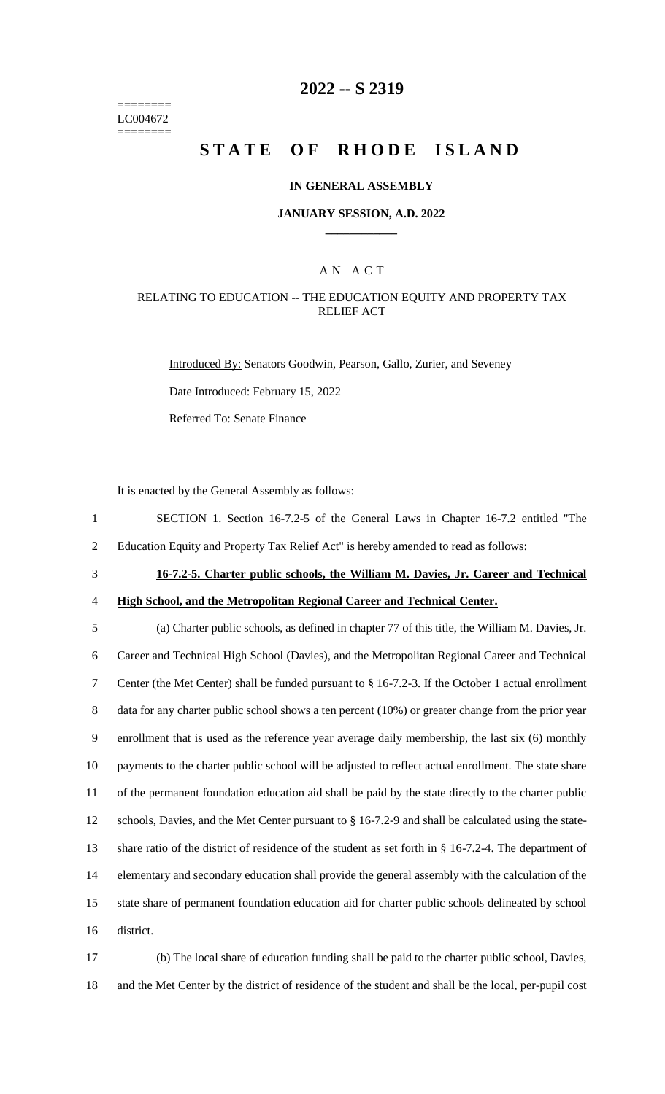======== LC004672 ========

### **2022 -- S 2319**

# **STATE OF RHODE ISLAND**

#### **IN GENERAL ASSEMBLY**

#### **JANUARY SESSION, A.D. 2022 \_\_\_\_\_\_\_\_\_\_\_\_**

### A N A C T

#### RELATING TO EDUCATION -- THE EDUCATION EQUITY AND PROPERTY TAX RELIEF ACT

Introduced By: Senators Goodwin, Pearson, Gallo, Zurier, and Seveney

Date Introduced: February 15, 2022

Referred To: Senate Finance

It is enacted by the General Assembly as follows:

- 1 SECTION 1. Section 16-7.2-5 of the General Laws in Chapter 16-7.2 entitled "The 2 Education Equity and Property Tax Relief Act" is hereby amended to read as follows:
- 
- 3 **16-7.2-5. Charter public schools, the William M. Davies, Jr. Career and Technical**  4 **High School, and the Metropolitan Regional Career and Technical Center.**

 (a) Charter public schools, as defined in chapter 77 of this title, the William M. Davies, Jr. Career and Technical High School (Davies), and the Metropolitan Regional Career and Technical Center (the Met Center) shall be funded pursuant to § 16-7.2-3. If the October 1 actual enrollment 8 data for any charter public school shows a ten percent (10%) or greater change from the prior year enrollment that is used as the reference year average daily membership, the last six (6) monthly payments to the charter public school will be adjusted to reflect actual enrollment. The state share of the permanent foundation education aid shall be paid by the state directly to the charter public schools, Davies, and the Met Center pursuant to § 16-7.2-9 and shall be calculated using the state- share ratio of the district of residence of the student as set forth in § 16-7.2-4. The department of elementary and secondary education shall provide the general assembly with the calculation of the state share of permanent foundation education aid for charter public schools delineated by school district.

17 (b) The local share of education funding shall be paid to the charter public school, Davies, 18 and the Met Center by the district of residence of the student and shall be the local, per-pupil cost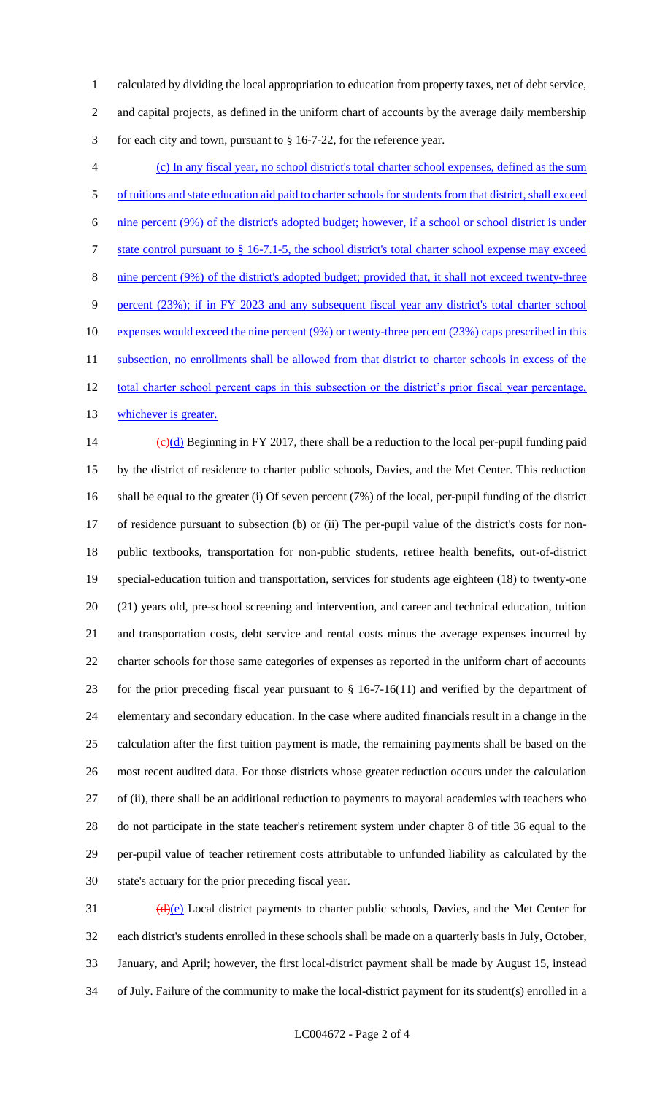calculated by dividing the local appropriation to education from property taxes, net of debt service, and capital projects, as defined in the uniform chart of accounts by the average daily membership for each city and town, pursuant to § 16-7-22, for the reference year.

 (c) In any fiscal year, no school district's total charter school expenses, defined as the sum of tuitions and state education aid paid to charter schools for students from that district, shall exceed nine percent (9%) of the district's adopted budget; however, if a school or school district is under state control pursuant to § 16-7.1-5, the school district's total charter school expense may exceed nine percent (9%) of the district's adopted budget; provided that, it shall not exceed twenty-three percent (23%); if in FY 2023 and any subsequent fiscal year any district's total charter school 10 expenses would exceed the nine percent (9%) or twenty-three percent (23%) caps prescribed in this 11 subsection, no enrollments shall be allowed from that district to charter schools in excess of the 12 total charter school percent caps in this subsection or the district's prior fiscal year percentage, 13 whichever is greater.

 $\left(\frac{e}{d}\right)$  Beginning in FY 2017, there shall be a reduction to the local per-pupil funding paid by the district of residence to charter public schools, Davies, and the Met Center. This reduction shall be equal to the greater (i) Of seven percent (7%) of the local, per-pupil funding of the district of residence pursuant to subsection (b) or (ii) The per-pupil value of the district's costs for non- public textbooks, transportation for non-public students, retiree health benefits, out-of-district special-education tuition and transportation, services for students age eighteen (18) to twenty-one (21) years old, pre-school screening and intervention, and career and technical education, tuition and transportation costs, debt service and rental costs minus the average expenses incurred by charter schools for those same categories of expenses as reported in the uniform chart of accounts for the prior preceding fiscal year pursuant to § 16-7-16(11) and verified by the department of elementary and secondary education. In the case where audited financials result in a change in the calculation after the first tuition payment is made, the remaining payments shall be based on the most recent audited data. For those districts whose greater reduction occurs under the calculation of (ii), there shall be an additional reduction to payments to mayoral academies with teachers who do not participate in the state teacher's retirement system under chapter 8 of title 36 equal to the per-pupil value of teacher retirement costs attributable to unfunded liability as calculated by the state's actuary for the prior preceding fiscal year.

 $\frac{d}{e}$  Local district payments to charter public schools, Davies, and the Met Center for each district's students enrolled in these schools shall be made on a quarterly basis in July, October, January, and April; however, the first local-district payment shall be made by August 15, instead of July. Failure of the community to make the local-district payment for its student(s) enrolled in a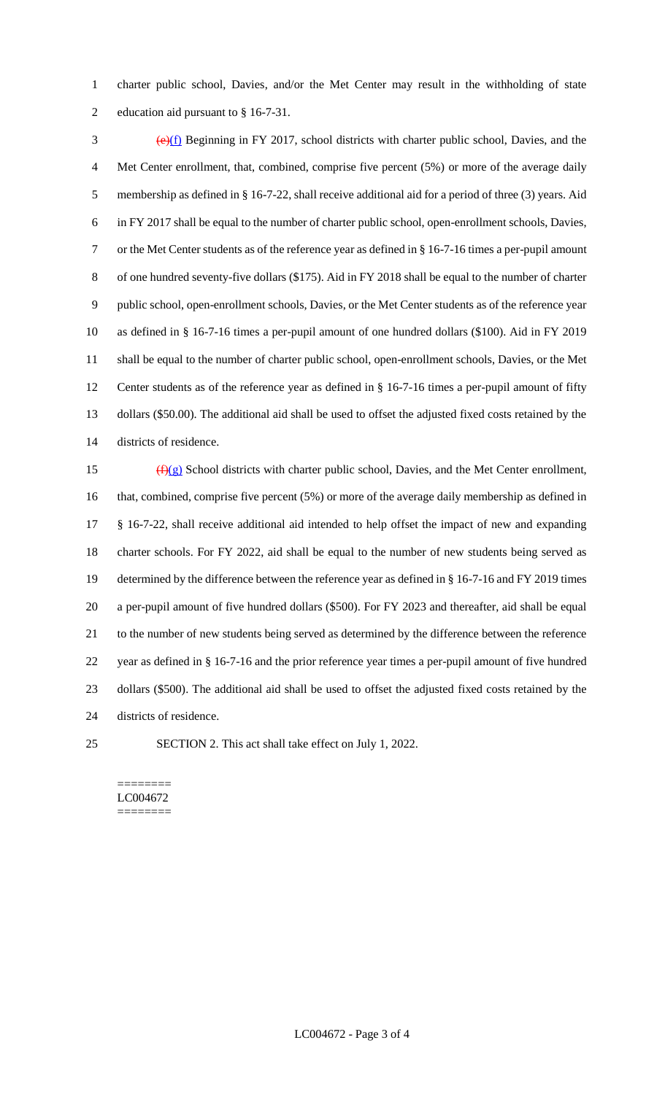charter public school, Davies, and/or the Met Center may result in the withholding of state education aid pursuant to § 16-7-31.

 $\frac{1}{2}$  (e)(f) Beginning in FY 2017, school districts with charter public school, Davies, and the Met Center enrollment, that, combined, comprise five percent (5%) or more of the average daily membership as defined in § 16-7-22, shall receive additional aid for a period of three (3) years. Aid in FY 2017 shall be equal to the number of charter public school, open-enrollment schools, Davies, or the Met Center students as of the reference year as defined in § 16-7-16 times a per-pupil amount of one hundred seventy-five dollars (\$175). Aid in FY 2018 shall be equal to the number of charter public school, open-enrollment schools, Davies, or the Met Center students as of the reference year as defined in § 16-7-16 times a per-pupil amount of one hundred dollars (\$100). Aid in FY 2019 shall be equal to the number of charter public school, open-enrollment schools, Davies, or the Met Center students as of the reference year as defined in § 16-7-16 times a per-pupil amount of fifty dollars (\$50.00). The additional aid shall be used to offset the adjusted fixed costs retained by the districts of residence.

 $(f)(g)$  School districts with charter public school, Davies, and the Met Center enrollment, 16 that, combined, comprise five percent (5%) or more of the average daily membership as defined in § 16-7-22, shall receive additional aid intended to help offset the impact of new and expanding charter schools. For FY 2022, aid shall be equal to the number of new students being served as determined by the difference between the reference year as defined in § 16-7-16 and FY 2019 times a per-pupil amount of five hundred dollars (\$500). For FY 2023 and thereafter, aid shall be equal to the number of new students being served as determined by the difference between the reference year as defined in § 16-7-16 and the prior reference year times a per-pupil amount of five hundred dollars (\$500). The additional aid shall be used to offset the adjusted fixed costs retained by the districts of residence.

SECTION 2. This act shall take effect on July 1, 2022.

======== LC004672 ========